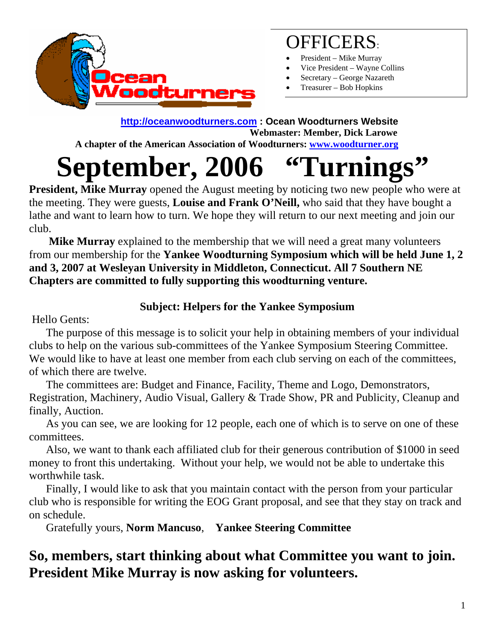

## OFFICERS:

- President Mike Murray
- Vice President Wayne Collins
- Secretary George Nazareth
- Treasurer Bob Hopkins

#### **[http://oceanwoodturners.com](http://oceanwoodturners.com/) : Ocean Woodturners Website Webmaster: Member, Dick Larowe**

 **A chapter of the American Association of Woodturners: [www.woodturner.org](http://www.woodturner.org/)** 

# **September, 2006 "Turnings"**

**President, Mike Murray** opened the August meeting by noticing two new people who were at the meeting. They were guests, **Louise and Frank O'Neill,** who said that they have bought a lathe and want to learn how to turn. We hope they will return to our next meeting and join our club.

 **Mike Murray** explained to the membership that we will need a great many volunteers from our membership for the **Yankee Woodturning Symposium which will be held June 1, 2 and 3, 2007 at Wesleyan University in Middleton, Connecticut. All 7 Southern NE Chapters are committed to fully supporting this woodturning venture.** 

#### **Subject: Helpers for the Yankee Symposium**

Hello Gents:

 The purpose of this message is to solicit your help in obtaining members of your individual clubs to help on the various sub-committees of the Yankee Symposium Steering Committee. We would like to have at least one member from each club serving on each of the committees, of which there are twelve.

 The committees are: Budget and Finance, Facility, Theme and Logo, Demonstrators, Registration, Machinery, Audio Visual, Gallery & Trade Show, PR and Publicity, Cleanup and finally, Auction.

 As you can see, we are looking for 12 people, each one of which is to serve on one of these committees.

 Also, we want to thank each affiliated club for their generous contribution of \$1000 in seed money to front this undertaking. Without your help, we would not be able to undertake this worthwhile task.

 Finally, I would like to ask that you maintain contact with the person from your particular club who is responsible for writing the EOG Grant proposal, and see that they stay on track and on schedule.

Gratefully yours, **Norm Mancuso**, **Yankee Steering Committee**

### **So, members, start thinking about what Committee you want to join. President Mike Murray is now asking for volunteers.**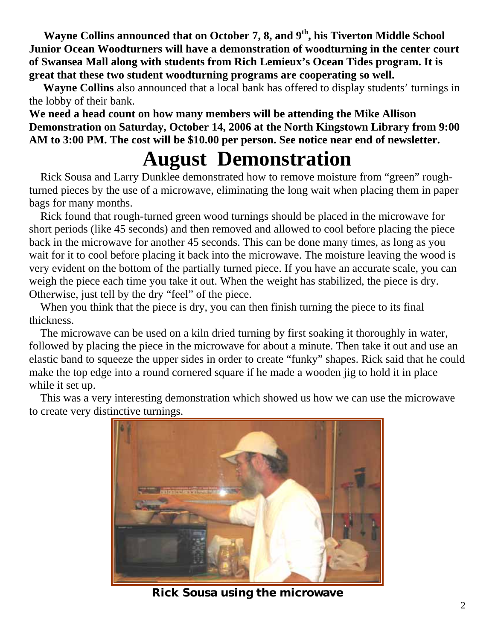**Wayne Collins announced that on October 7, 8, and 9th, his Tiverton Middle School Junior Ocean Woodturners will have a demonstration of woodturning in the center court of Swansea Mall along with students from Rich Lemieux's Ocean Tides program. It is great that these two student woodturning programs are cooperating so well.** 

 **Wayne Collins** also announced that a local bank has offered to display students' turnings in the lobby of their bank.

**We need a head count on how many members will be attending the Mike Allison Demonstration on Saturday, October 14, 2006 at the North Kingstown Library from 9:00 AM to 3:00 PM. The cost will be \$10.00 per person. See notice near end of newsletter.** 

## **August Demonstration**

 Rick Sousa and Larry Dunklee demonstrated how to remove moisture from "green" roughturned pieces by the use of a microwave, eliminating the long wait when placing them in paper bags for many months.

 Rick found that rough-turned green wood turnings should be placed in the microwave for short periods (like 45 seconds) and then removed and allowed to cool before placing the piece back in the microwave for another 45 seconds. This can be done many times, as long as you wait for it to cool before placing it back into the microwave. The moisture leaving the wood is very evident on the bottom of the partially turned piece. If you have an accurate scale, you can weigh the piece each time you take it out. When the weight has stabilized, the piece is dry. Otherwise, just tell by the dry "feel" of the piece.

When you think that the piece is dry, you can then finish turning the piece to its final thickness.

 The microwave can be used on a kiln dried turning by first soaking it thoroughly in water, followed by placing the piece in the microwave for about a minute. Then take it out and use an elastic band to squeeze the upper sides in order to create "funky" shapes. Rick said that he could make the top edge into a round cornered square if he made a wooden jig to hold it in place while it set up.

 This was a very interesting demonstration which showed us how we can use the microwave to create very distinctive turnings.



**Rick Sousa using the microwave**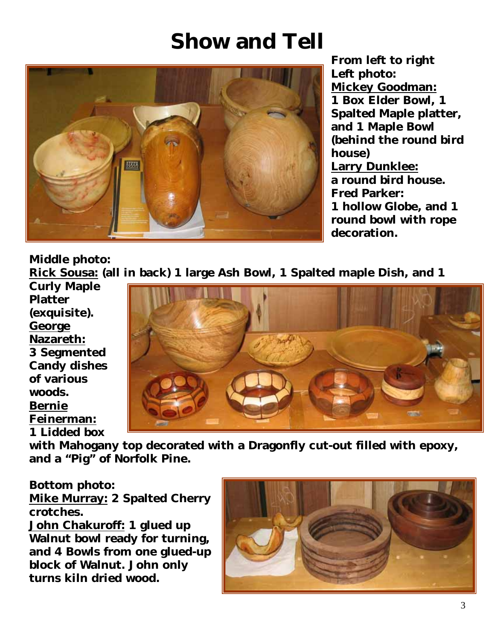## **Show and Tell**



**From left to right Left photo: Mickey Goodman: 1 Box Elder Bowl, 1 Spalted Maple platter, and 1 Maple Bowl (behind the round bird house) Larry Dunklee: a round bird house. Fred Parker: 1 hollow Globe, and 1 round bowl with rope decoration.**

**Middle photo:** 

**Rick Sousa: (all in back) 1 large Ash Bowl, 1 Spalted maple Dish, and 1**

**Curly Maple Platter (exquisite). George Nazareth: 3 Segmented Candy dishes of various woods. Bernie Feinerman: 1 Lidded box**



**with Mahogany top decorated with a Dragonfly cut-out filled with epoxy, and a "Pig" of Norfolk Pine.** 

**Bottom photo:** 

**Mike Murray: 2 Spalted Cherry crotches.** 

**John Chakuroff: 1 glued up Walnut bowl ready for turning, and 4 Bowls from one glued-up block of Walnut. John only turns kiln dried wood.**